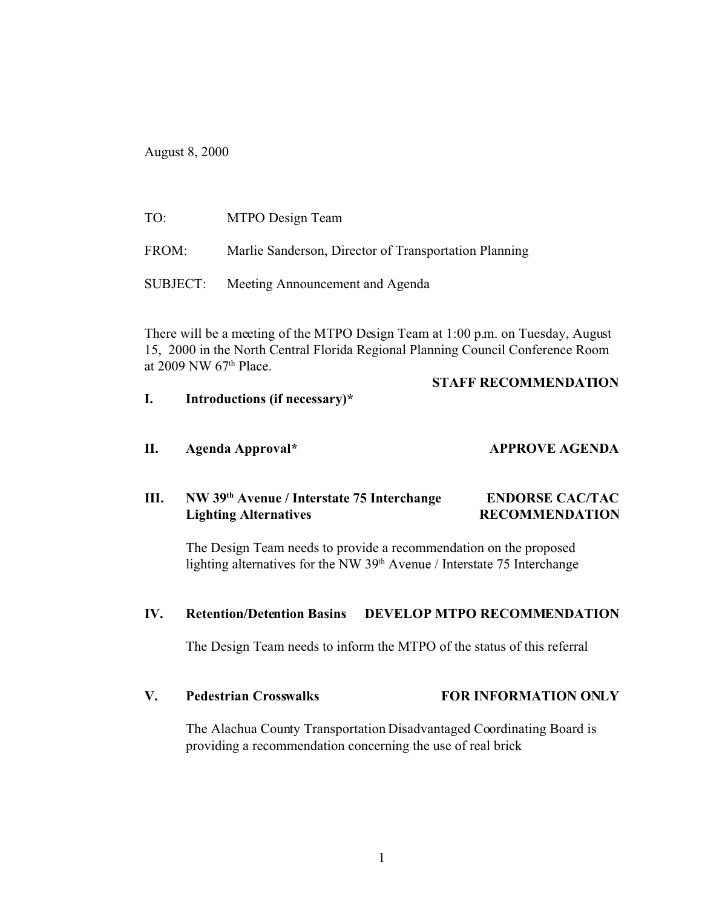August 8, 2000

| TO:   | MTPO Design Team                                      |
|-------|-------------------------------------------------------|
| FROM: | Marlie Sanderson, Director of Transportation Planning |
|       | SUBJECT: Meeting Announcement and Agenda              |

There will be a meeting of the MTPO Design Team at 1:00 p.m. on Tuesday, August 15, 2000 in the North Central Florida Regional Planning Council Conference Room at 2009 NW 67th Place.

#### **STAFF RECOMMENDATION**

- **I. Introductions (if necessary)\***
- **II. Agenda Approval\* APPROVE AGENDA**

# **III. NW 39th Avenue / Interstate 75 Interchange ENDORSE CAC/TAC Lighting Alternatives RECOMMENDATION**

The Design Team needs to provide a recommendation on the proposed lighting alternatives for the NW  $39<sup>th</sup>$  Avenue / Interstate 75 Interchange

#### **IV. Retention/Detention Basins DEVELOP MTPO RECOMMENDATION**

The Design Team needs to inform the MTPO of the status of this referral

### **V. Pedestrian Crosswalks FOR INFORMATION ONLY**

The Alachua County Transportation Disadvantaged Coordinating Board is providing a recommendation concerning the use of real brick